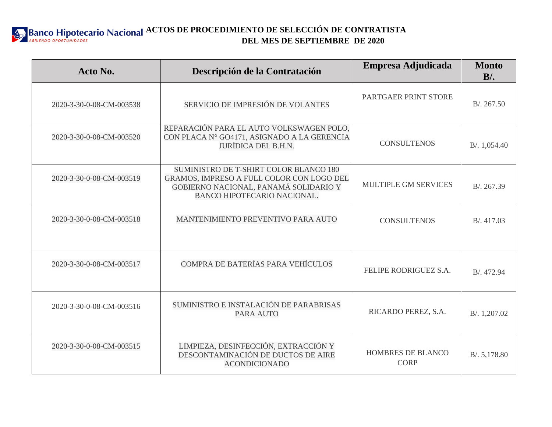**ACTOS DE PROCEDIMIENTO DE SELECCIÓN DE CONTRATISTA DEL MES DE SEPTIEMBRE DE 2020**

| Acto No.                 | Descripción de la Contratación                                                                                                                                     | Empresa Adjudicada               | <b>Monto</b><br>$B$ . |
|--------------------------|--------------------------------------------------------------------------------------------------------------------------------------------------------------------|----------------------------------|-----------------------|
| 2020-3-30-0-08-CM-003538 | SERVICIO DE IMPRESIÓN DE VOLANTES                                                                                                                                  | PARTGAER PRINT STORE             | B/.267.50             |
| 2020-3-30-0-08-CM-003520 | REPARACIÓN PARA EL AUTO VOLKSWAGEN POLO,<br>CON PLACA N° GO4171, ASIGNADO A LA GERENCIA<br><b>JURÍDICA DEL B.H.N.</b>                                              | <b>CONSULTENOS</b>               | B/. 1,054.40          |
| 2020-3-30-0-08-CM-003519 | SUMINISTRO DE T-SHIRT COLOR BLANCO 180<br>GRAMOS, IMPRESO A FULL COLOR CON LOGO DEL<br>GOBIERNO NACIONAL, PANAMÁ SOLIDARIO Y<br><b>BANCO HIPOTECARIO NACIONAL.</b> | <b>MULTIPLE GM SERVICES</b>      | B/.267.39             |
| 2020-3-30-0-08-CM-003518 | MANTENIMIENTO PREVENTIVO PARA AUTO                                                                                                                                 | <b>CONSULTENOS</b>               | B/.417.03             |
| 2020-3-30-0-08-CM-003517 | COMPRA DE BATERÍAS PARA VEHÍCULOS                                                                                                                                  | FELIPE RODRIGUEZ S.A.            | B/. 472.94            |
| 2020-3-30-0-08-CM-003516 | SUMINISTRO E INSTALACIÓN DE PARABRISAS<br>PARA AUTO                                                                                                                | RICARDO PEREZ, S.A.              | B/. 1,207.02          |
| 2020-3-30-0-08-CM-003515 | LIMPIEZA, DESINFECCIÓN, EXTRACCIÓN Y<br>DESCONTAMINACIÓN DE DUCTOS DE AIRE<br><b>ACONDICIONADO</b>                                                                 | HOMBRES DE BLANCO<br><b>CORP</b> | B/. 5,178.80          |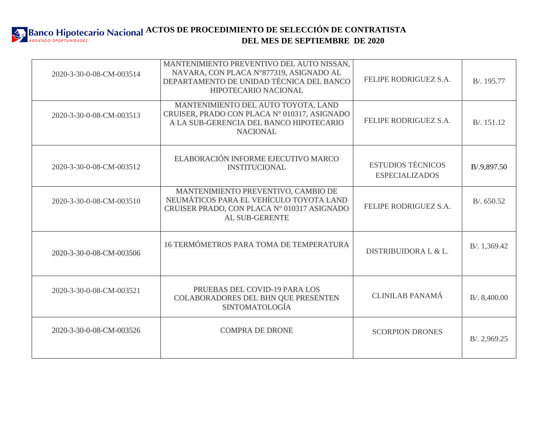

| 2020-3-30-0-08-CM-003514 | MANTENIMIENTO PREVENTIVO DEL AUTO NISSAN,<br>NAVARA, CON PLACA N°877319, ASIGNADO AL<br>DEPARTAMENTO DE UNIDAD TÉCNICA DEL BANCO<br><b>HIPOTECARIO NACIONAL</b> | FELIPE RODRIGUEZ S.A.                             | B/. 195.77   |
|--------------------------|-----------------------------------------------------------------------------------------------------------------------------------------------------------------|---------------------------------------------------|--------------|
| 2020-3-30-0-08-CM-003513 | MANTENIMIENTO DEL AUTO TOYOTA, LAND<br>CRUISER, PRADO CON PLACA Nº 010317, ASIGNADO<br>A LA SUB-GERENCIA DEL BANCO HIPOTECARIO<br><b>NACIONAL</b>               | FELIPE RODRIGUEZ S.A.                             | B/. 151.12   |
| 2020-3-30-0-08-CM-003512 | ELABORACIÓN INFORME EJECUTIVO MARCO<br><b>INSTITUCIONAL</b>                                                                                                     | <b>ESTUDIOS TÉCNICOS</b><br><b>ESPECIALIZADOS</b> | B/.9,897.50  |
| 2020-3-30-0-08-CM-003510 | MANTENIMIENTO PREVENTIVO, CAMBIO DE<br>NEUMÁTICOS PARA EL VEHÍCULO TOYOTA LAND<br>CRUISER PRADO, CON PLACA Nº 010317 ASIGNADO<br><b>AL SUB-GERENTE</b>          | FELIPE RODRIGUEZ S.A.                             | B/0.650.52   |
| 2020-3-30-0-08-CM-003506 | 16 TERMÓMETROS PARA TOMA DE TEMPERATURA                                                                                                                         | DISTRIBUIDORA L & L.                              | B/. 1,369.42 |
| 2020-3-30-0-08-CM-003521 | PRUEBAS DEL COVID-19 PARA LOS<br>COLABORADORES DEL BHN QUE PRESENTEN<br><b>SINTOMATOLOGÍA</b>                                                                   | <b>CLINILAB PANAMÁ</b>                            | B/.8,400.00  |
| 2020-3-30-0-08-CM-003526 | <b>COMPRA DE DRONE</b>                                                                                                                                          | <b>SCORPION DRONES</b>                            | B/.2,969.25  |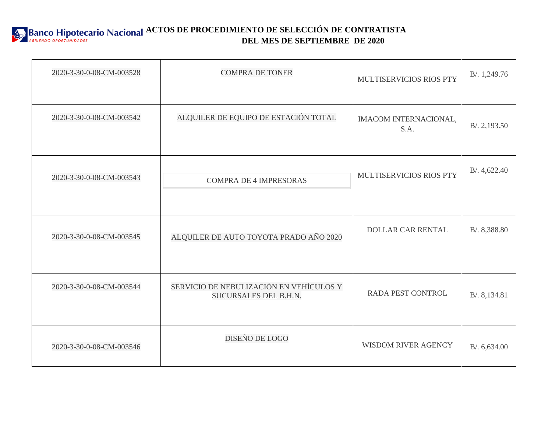

| 2020-3-30-0-08-CM-003528 | <b>COMPRA DE TONER</b>                                           | MULTISERVICIOS RIOS PTY       | B/. 1,249.76 |
|--------------------------|------------------------------------------------------------------|-------------------------------|--------------|
| 2020-3-30-0-08-CM-003542 | ALQUILER DE EQUIPO DE ESTACIÓN TOTAL                             | IMACOM INTERNACIONAL,<br>S.A. | B/.2,193.50  |
| 2020-3-30-0-08-CM-003543 | <b>COMPRA DE 4 IMPRESORAS</b>                                    | MULTISERVICIOS RIOS PTY       | B/.4,622.40  |
| 2020-3-30-0-08-CM-003545 | ALQUILER DE AUTO TOYOTA PRADO AÑO 2020                           | <b>DOLLAR CAR RENTAL</b>      | B/. 8,388.80 |
| 2020-3-30-0-08-CM-003544 | SERVICIO DE NEBULIZACIÓN EN VEHÍCULOS Y<br>SUCURSALES DEL B.H.N. | RADA PEST CONTROL             | B/. 8,134.81 |
| 2020-3-30-0-08-CM-003546 | DISEÑO DE LOGO                                                   | WISDOM RIVER AGENCY           | B/0.6,634.00 |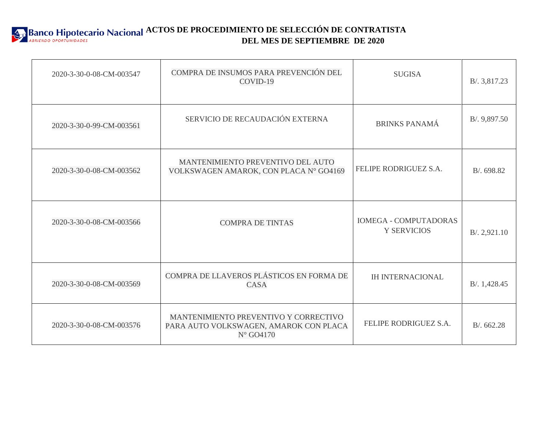

| 2020-3-30-0-08-CM-003547 | COMPRA DE INSUMOS PARA PREVENCIÓN DEL<br>COVID-19                                                     | <b>SUGISA</b>                                      | B/. 3,817.23 |
|--------------------------|-------------------------------------------------------------------------------------------------------|----------------------------------------------------|--------------|
| 2020-3-30-0-99-CM-003561 | SERVICIO DE RECAUDACIÓN EXTERNA                                                                       | <b>BRINKS PANAMÁ</b>                               | B/. 9,897.50 |
| 2020-3-30-0-08-CM-003562 | MANTENIMIENTO PREVENTIVO DEL AUTO<br>VOLKSWAGEN AMAROK, CON PLACA N° GO4169                           | FELIPE RODRIGUEZ S.A.                              | B/0.698.82   |
| 2020-3-30-0-08-CM-003566 | <b>COMPRA DE TINTAS</b>                                                                               | <b>IOMEGA - COMPUTADORAS</b><br><b>Y SERVICIOS</b> | B/.2,921.10  |
| 2020-3-30-0-08-CM-003569 | COMPRA DE LLAVEROS PLÁSTICOS EN FORMA DE<br>CASA                                                      | <b>IH INTERNACIONAL</b>                            | B/. 1,428.45 |
| 2020-3-30-0-08-CM-003576 | MANTENIMIENTO PREVENTIVO Y CORRECTIVO<br>PARA AUTO VOLKSWAGEN, AMAROK CON PLACA<br>$N^{\circ}$ GO4170 | FELIPE RODRIGUEZ S.A.                              | B/0.662.28   |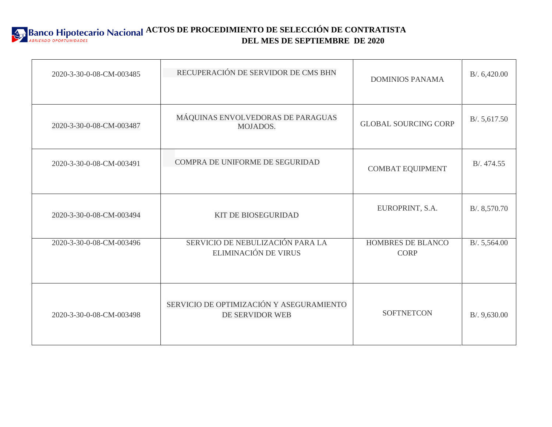

| 2020-3-30-0-08-CM-003485 | RECUPERACIÓN DE SERVIDOR DE CMS BHN                         | <b>DOMINIOS PANAMA</b>           | B/0.6,420.00  |
|--------------------------|-------------------------------------------------------------|----------------------------------|---------------|
| 2020-3-30-0-08-CM-003487 | MÁQUINAS ENVOLVEDORAS DE PARAGUAS<br>MOJADOS.               | <b>GLOBAL SOURCING CORP</b>      | B/. 5, 617.50 |
| 2020-3-30-0-08-CM-003491 | COMPRA DE UNIFORME DE SEGURIDAD                             | <b>COMBAT EQUIPMENT</b>          | B/.474.55     |
| 2020-3-30-0-08-CM-003494 | <b>KIT DE BIOSEGURIDAD</b>                                  | EUROPRINT, S.A.                  | B/.8,570.70   |
| 2020-3-30-0-08-CM-003496 | SERVICIO DE NEBULIZACIÓN PARA LA<br>ELIMINACIÓN DE VIRUS    | HOMBRES DE BLANCO<br><b>CORP</b> | B/.5,564.00   |
| 2020-3-30-0-08-CM-003498 | SERVICIO DE OPTIMIZACIÓN Y ASEGURAMIENTO<br>DE SERVIDOR WEB | <b>SOFTNETCON</b>                | B/.9,630.00   |